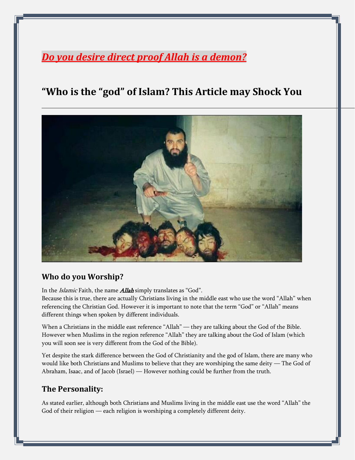# *Do you desire direct proof Allah is a demon?*

# **"Who is the "god" of Islam? This Article may Shock You**



## **Who do you Worship?**

In the *Islamic* Faith, the name **Allah** simply translates as "God".

Because this is true, there are actually Christians living in the middle east who use the word "Allah" when referencing the Christian God. However it is important to note that the term "God" or "Allah" means different things when spoken by different individuals.

When a Christians in the middle east reference "Allah" — they are talking about the God of the Bible. However when Muslims in the region reference "Allah" they are talking about the God of Islam (which you will soon see is very different from the God of the Bible).

Yet despite the stark difference between the God of Christianity and the god of Islam, there are many who would like both Christians and Muslims to believe that they are worshiping the same deity — The God of Abraham, Isaac, and of Jacob (Israel) — However nothing could be further from the truth.

## **The Personality:**

As stated earlier, although both Christians and Muslims living in the middle east use the word "Allah" the God of their religion — each religion is worshiping a completely different deity.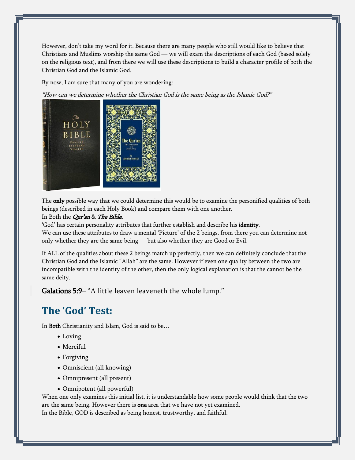However, don't take my word for it. Because there are many people who still would like to believe that Christians and Muslims worship the same God — we will exam the descriptions of each God (based solely on the religious text), and from there we will use these descriptions to build a character profile of both the Christian God and the Islamic God.

By now, I am sure that many of you are wondering:

"How can we determine whether the Christian God is the same being as the Islamic God?"



The only possible way that we could determine this would be to examine the personified qualities of both beings (described in each Holy Book) and compare them with one another.

#### In Both the *Qur'an & The Bible*,

'God' has certain personality attributes that further establish and describe his identity.

We can use these attributes to draw a mental 'Picture' of the 2 beings, from there you can determine not only whether they are the same being — but also whether they are Good or Evil.

If ALL of the qualities about these 2 beings match up perfectly, then we can definitely conclude that the Christian God and the Islamic "Allah" are the same. However if even one quality between the two are incompatible with the identity of the other, then the only logical explanation is that the cannot be the same deity.

Galations 5:9– "A little leaven leaveneth the whole lump."

# **The 'God' Test:**

In Both Christianity and Islam, God is said to be…

- Loving
- Merciful
- Forgiving
- Omniscient (all knowing)
- Omnipresent (all present)
- Omnipotent (all powerful)

When one only examines this initial list, it is understandable how some people would think that the two are the same being. However there is one area that we have not yet examined. In the Bible, GOD is described as being honest, trustworthy, and faithful.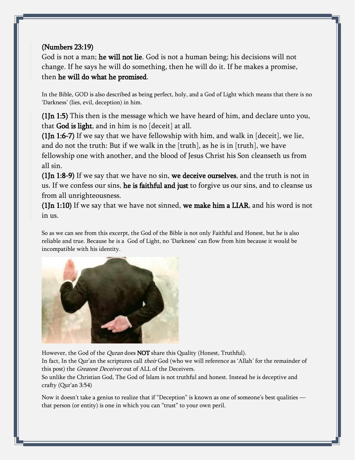## (Numbers 23:19)

God is not a man; he will not lie. God is not a human being; his decisions will not change. If he says he will do something, then he will do it. If he makes a promise, then he will do what he promised.

In the Bible, GOD is also described as being perfect, holy, and a God of Light which means that there is no 'Darkness' (lies, evil, deception) in him.

(1Jn 1:5) This then is the message which we have heard of him, and declare unto you, that God is light, and in him is no [deceit] at all.

(1Jn 1:6-7) If we say that we have fellowship with him, and walk in [deceit], we lie, and do not the truth: But if we walk in the [truth], as he is in [truth], we have fellowship one with another, and the blood of Jesus Christ his Son cleanseth us from all sin.

 $(1]n$  1:8-9) If we say that we have no sin, we deceive ourselves, and the truth is not in us. If we confess our sins, he is faithful and just to forgive us our sins, and to cleanse us from all unrighteousness.

(1Jn 1:10) If we say that we have not sinned, we make him a LIAR, and his word is not in us.

So as we can see from this excerpt, the God of the Bible is not only Faithful and Honest, but he is also reliable and true. Because he is a God of Light, no 'Darkness' can flow from him because it would be incompatible with his identity.



However, the God of the *Quran* does **NOT** share this Quality (Honest, Truthful).

In fact, In the Qur'an the scriptures call their God (who we will reference as 'Allah' for the remainder of this post) the *Greatest Deceiver* out of ALL of the Deceivers.

So unlike the Christian God, The God of Islam is not truthful and honest. Instead he is deceptive and crafty (Qur'an 3:54)

Now it doesn't take a genius to realize that if "Deception" is known as one of someone's best qualities that person (or entity) is one in which you can "trust" to your own peril.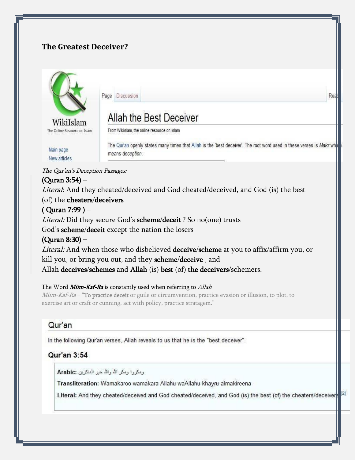# **The Greatest Deceiver?**



Page Discussion

# Allah the Best Deceiver

From Wikilslam, the online resource on Islam

The Qur'an openly states many times that Allah is the 'best deceiver'. The root word used in these verses is Makr whid means deception.

Rea

The Qur'an's Deception Passages:

## (Quran 3:54) –

Literal: And they cheated/deceived and God cheated/deceived, and God (is) the best (of) the cheaters/deceivers

## ( Quran 7:99 ) –

Literal: Did they secure God's scheme/deceit ? So no(one) trusts

God's scheme/deceit except the nation the losers

## (Quran 8:30) –

Literal: And when those who disbelieved deceive/scheme at you to affix/affirm you, or kill you, or bring you out, and they scheme/deceive , and Allah deceives/schemes and Allah (is) best (of) the deceivers/schemers.

## The Word **Miim-Kaf-Ra** is constantly used when referring to Allah

 $M$ iim-Kaf-Ra = "To practice deceit or guile or circumvention, practice evasion or illusion, to plot, to exercise art or craft or cunning, act with policy, practice stratagem."

# Qur'an

In the following Qur'an verses, Allah reveals to us that he is the "best deceiver".

## **Qur'an 3:54**

ومكروا ومكر الله والله خبر الماكرين :Arabic

Transliteration: Wamakaroo wamakara Allahu waAllahu khayru almakireena

Literal: And they cheated/deceived and God cheated/deceived, and God (is) the best (of) the cheaters/deceivers [2]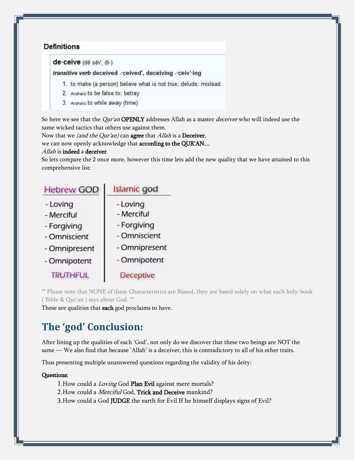### **Definitions**

de-ceive (dē sēv, di-)

transitive verb deceived - ceived', deceiving - ceiv' ing

- 1. to make (a person) believe what is not true; delude; mislead
- 2. Archaic to be false to; betray
- 3. Archaic to while away (time)

So here we see that the *Qur'an* OPENLY addresses Allah as a master *deceiver* who will indeed use the same wicked tactics that others use against them.

Now that we *(and the Qur'an)* can **agree** that *Allah* is a **Deceiver**,

we can now openly acknowledge that according to the QUR'AN…

#### Allah is indeed a deceiver.

So lets compare the 2 once more, however this time lets add the new quality that we have attained to this comprehensive list:

| <b>Hebrew GOD</b> | Islamic god      |
|-------------------|------------------|
| - Loving          | - Loving         |
| - Merciful        | - Merciful       |
| - Forgiving       | - Forgiving      |
| - Omniscient      | - Omniscient     |
| - Omnipresent     | - Omnipresent    |
| - Omnipotent      | - Omnipotent     |
| <b>TRUTHFUL</b>   | <b>Deceptive</b> |

\*\* Please note that NONE of these Characteristics are Biased, they are based solely on what each holy-book ( Bible & Qur'an ) says about God. \*\*

These are qualities that each god proclaims to have.

# **The 'god' Conclusion:**

After lining up the qualities of each 'God', not only do we discover that these two beings are NOT the same — We also find that because 'Allah' is a deceiver, this is contradictory to all of his other traits.

Thus presenting multiple unanswered questions regarding the validity of his deity:

#### Questions:

- 1. How could a *Loving* God Plan Evil against mere mortals?
- 2. How could a *Merciful* God, Trick and Deceive mankind?

3.How could a God JUDGE the earth for Evil If he himself displays signs of Evil?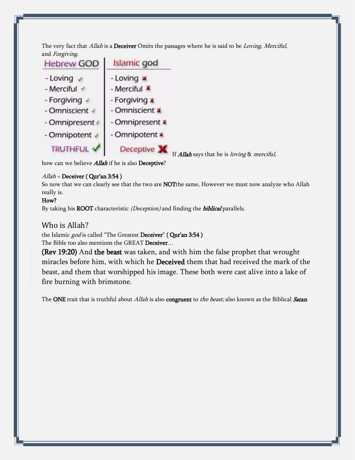The very fact that Allah is a Deceiver Omits the passages where he is said to be Loving, Merciful, and Forgiving.

| <b>Hebrew GOD</b> | Islamic god                                                     |
|-------------------|-----------------------------------------------------------------|
| - Loving          | - Loving x                                                      |
| - Merciful        | - Merciful X                                                    |
| - Forgiving v     | - Forgiving x                                                   |
| - Omniscient v    | - Omniscient X                                                  |
| - Omnipresent <   | - Omnipresent <b>x</b>                                          |
| - Omnipotent v    | - Omnipotent x                                                  |
| <b>TRUTHFUL</b>   | Deceptive<br>If <b>Allah</b> says that he is loving & merciful, |

how can we believe *Allah* if he is also Deceptive?

#### $Allah =$  Deceiver (Qur'an 3:54)

So now that we can clearly see that the two are NOTthe same, However we must now analyze who Allah really is.

#### How?

By taking his ROOT characteristic (Deception) and finding the **biblical** parallels.

## Who is Allah?

the Islamic god is called "The Greatest Deceiver" ( Qur'an 3:54 ) The Bible too also mentions the GREAT Deceiver...

(Rev 19:20) And the beast was taken, and with him the false prophet that wrought miracles before him, with which he Deceived them that had received the mark of the beast, and them that worshipped his image. These both were cast alive into a lake of fire burning with brimstone.

The ONE trait that is truthful about *Allah* is also **congruent** to *the beast;* also known as the Biblical *Satan*.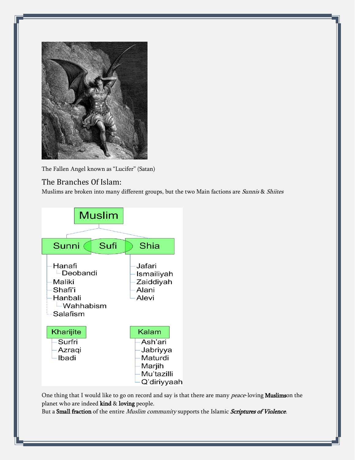

The Fallen Angel known as "Lucifer" (Satan)

## The Branches Of Islam:

Muslims are broken into many different groups, but the two Main factions are Sunnis & Shiites



One thing that I would like to go on record and say is that there are many peace-loving Muslimson the planet who are indeed kind & loving people.

But a Small fraction of the entire Muslim community supports the Islamic Scriptures of Violence.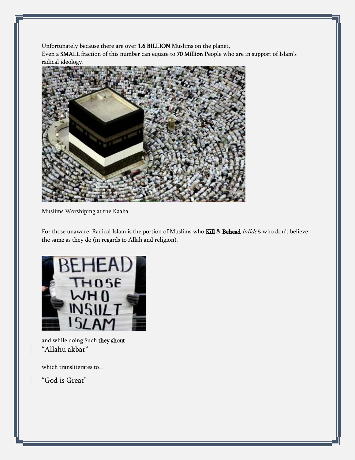Unfortunately because there are over 1.6 BILLION Muslims on the planet,

Even a SMALL fraction of this number can equate to 70 Million People who are in support of Islam's radical ideology.



Muslims Worshiping at the Kaaba

For those unaware, Radical Islam is the portion of Muslims who Kill & Behead infidels who don't believe the same as they do (in regards to Allah and religion).



and while doing Such they shout… "Allahu akbar"

which transliterates to…

"God is Great"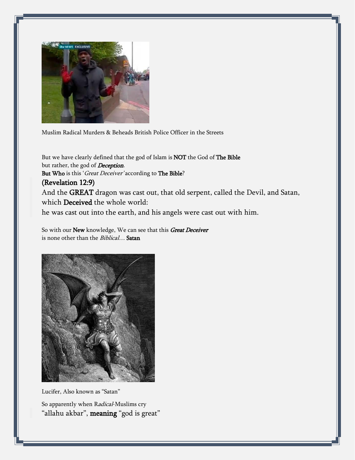

Muslim Radical Murders & Beheads British Police Officer in the Streets

But we have clearly defined that the god of Islam is NOT the God of The Bible but rather, the god of **Deception**. But Who is this 'Great Deceiver' according to The Bible? (Revelation 12:9) And the GREAT dragon was cast out, that old serpent, called the Devil, and Satan, which Deceived the whole world: he was cast out into the earth, and his angels were cast out with him.

So with our New knowledge, We can see that this Great Deceiver is none other than the *Biblical...* Satan



Lucifer, Also known as "Satan" So apparently when Radical-Muslims cry "allahu akbar", meaning "god is great"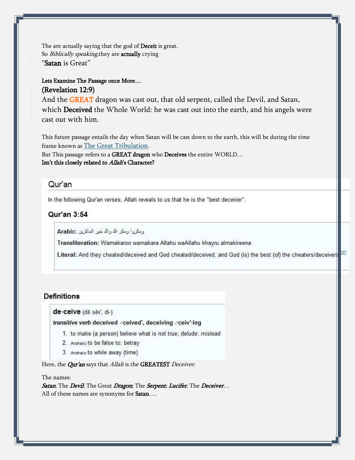The are actually saying that the god of Deceit is great. So Biblically speaking, they are actually crying "Satan is Great"

#### Lets Examine The Passage once More… (Revelation 12:9)

And the **GREAT** dragon was cast out, that old serpent, called the Devil, and Satan, which Deceived the Whole World: he was cast out into the earth, and his angels were cast out with him.

This future passage entails the day when Satan will be cast down to the earth, this will be during the time frame known as The Great [Tribulation](http://deonvsearth.com/what-is-the-rapture/).

But This passage refers to a GREAT dragon who Deceives the entire WORLD... Isn't this closely related to Allah's Character?

#### Qur'an

In the following Qur'an verses, Allah reveals to us that he is the "best deceiver".

## Qur'an 3:54

ومكروا ومكر الله والله خبر الماكرين: Arabic

Transliteration: Wamakaroo wamakara Allahu waAllahu khayru almakireena

Literal: And they cheated/deceived and God cheated/deceived, and God (is) the best (of) the cheaters/deceivers [2]

#### **Definitions**

de-ceive (dē sēv, di-)

transitive verb deceived - ceived', deceiving - ceiv' ing

- 1. to make (a person) believe what is not true; delude; mislead
- 2. Archaic to be false to; betray
- 3. Archaic to while away (time)

Here, the *Qur'an* says that *Allah* is the GREATEST Deceiver.

#### The names:

Satan; The Devil; The Great Dragon; The Serpent; Lucifer, The Deceiver... All of these names are synonyms for **Satan**....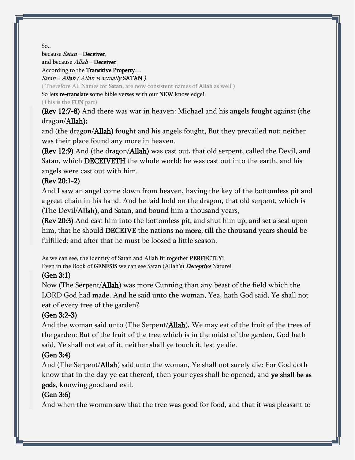So..

because  $Satan =$ **Deceiver**,

and because  $Allah =$ **Deceiver** 

According to the Transitive Property…

Satan = Allah ( Allah is actually SATAN )

( Therefore All Names for Satan, are now consistent names of Allah as well )

So lets re-translate some bible verses with our NEW knowledge!

(This is the FUN part)

(Rev 12:7-8) And there was war in heaven: Michael and his angels fought against (the dragon/Allah);

and (the dragon/Allah) fought and his angels fought, But they prevailed not; neither was their place found any more in heaven.

(Rev 12:9) And (the dragon/Allah) was cast out, that old serpent, called the Devil, and Satan, which DECEIVETH the whole world: he was cast out into the earth, and his angels were cast out with him.

# (Rev 20:1-2)

And I saw an angel come down from heaven, having the key of the bottomless pit and a great chain in his hand. And he laid hold on the dragon, that old serpent, which is (The Devil/Allah), and Satan, and bound him a thousand years,

(Rev 20:3) And cast him into the bottomless pit, and shut him up, and set a seal upon him, that he should DECEIVE the nations no more, till the thousand years should be fulfilled: and after that he must be loosed a little season.

As we can see, the identity of Satan and Allah fit together PERFECTLY!

Even in the Book of GENESIS we can see Satan (Allah's) Deceptive Nature!

## (Gen 3:1)

Now (The Serpent/Allah) was more Cunning than any beast of the field which the LORD God had made. And he said unto the woman, Yea, hath God said, Ye shall not eat of every tree of the garden?

# (Gen 3:2-3)

And the woman said unto (The Serpent/Allah), We may eat of the fruit of the trees of the garden: But of the fruit of the tree which is in the midst of the garden, God hath said, Ye shall not eat of it, neither shall ye touch it, lest ye die.

## (Gen 3:4)

And (The Serpent/Allah) said unto the woman, Ye shall not surely die: For God doth know that in the day ye eat thereof, then your eyes shall be opened, and ye shall be as gods, knowing good and evil.

## (Gen 3:6)

And when the woman saw that the tree was good for food, and that it was pleasant to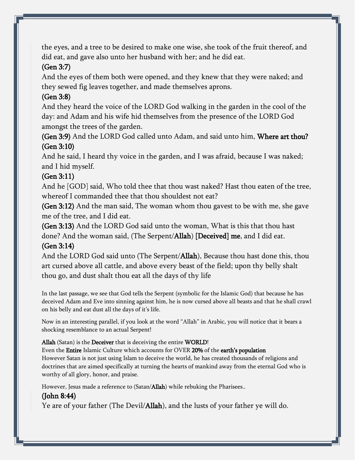the eyes, and a tree to be desired to make one wise, she took of the fruit thereof, and did eat, and gave also unto her husband with her; and he did eat.

# (Gen 3:7)

And the eyes of them both were opened, and they knew that they were naked; and they sewed fig leaves together, and made themselves aprons.

# (Gen 3:8)

And they heard the voice of the LORD God walking in the garden in the cool of the day: and Adam and his wife hid themselves from the presence of the LORD God amongst the trees of the garden.

(Gen 3:9) And the LORD God called unto Adam, and said unto him, Where art thou? (Gen 3:10)

And he said, I heard thy voice in the garden, and I was afraid, because I was naked; and I hid myself.

# (Gen 3:11)

And he [GOD] said, Who told thee that thou wast naked? Hast thou eaten of the tree, whereof I commanded thee that thou shouldest not eat?

(Gen 3:12) And the man said, The woman whom thou gavest to be with me, she gave me of the tree, and I did eat.

(Gen 3:13) And the LORD God said unto the woman, What is this that thou hast done? And the woman said, (The Serpent/**Allah**) [Deceived] me, and I did eat.

# (Gen 3:14) And the LORD God said unto (The Serpent/Allah), Because thou hast done this, thou

art cursed above all cattle, and above every beast of the field; upon thy belly shalt thou go, and dust shalt thou eat all the days of thy life

In the last passage, we see that God tells the Serpent (symbolic for the Islamic God) that because he has deceived Adam and Eve into sinning against him, he is now cursed above all beasts and that he shall crawl on his belly and eat dust all the days of it's life.

Now in an interesting parallel, if you look at the word "Allah" in Arabic, you will notice that it bears a shocking resemblance to an actual Serpent!

## Allah (Satan) is the Deceiver that is deceiving the entire WORLD!

Even the Entire Islamic Culture which accounts for OVER 20% of the earth's population However Satan is not just using Islam to deceive the world, he has created thousands of religions and doctrines that are aimed specifically at turning the hearts of mankind away from the eternal God who is worthy of all glory, honor, and praise.

However, Jesus made a reference to (Satan/Allah) while rebuking the Pharisees..

# (John 8:44)

Ye are of your father (The Devil/Allah), and the lusts of your father ye will do.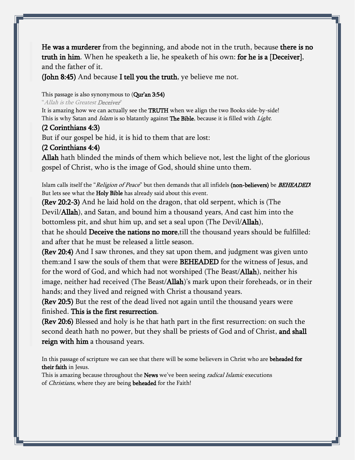He was a murderer from the beginning, and abode not in the truth, because there is no truth in him. When he speaketh a lie, he speaketh of his own: for he is a [Deceiver], and the father of it.

(John 8:45) And because I tell you the truth, ye believe me not.

#### This passage is also synonymous to (Qur'an 3:54)

#### "Allah is the Greatest Deceiver"

It is amazing how we can actually see the TRUTH when we align the two Books side-by-side! This is why Satan and *Islam* is so blatantly against **The Bible**, because it is filled with *Light*.

#### (2 Corinthians 4:3)

But if our gospel be hid, it is hid to them that are lost:

#### (2 Corinthians 4:4)

Allah hath blinded the minds of them which believe not, lest the light of the glorious gospel of Christ, who is the image of God, should shine unto them.

Islam calls itself the "Religion of Peace" but then demands that all infidels (non-believers) be **BEHEADED**! But lets see what the Holy Bible has already said about this event.

(Rev 20:2-3) And he laid hold on the dragon, that old serpent, which is (The Devil/Allah), and Satan, and bound him a thousand years, And cast him into the bottomless pit, and shut him up, and set a seal upon (The Devil/Allah),

that he should Deceive the nations no more,till the thousand years should be fulfilled: and after that he must be released a little season.

(Rev 20:4) And I saw thrones, and they sat upon them, and judgment was given unto them:and I saw the souls of them that were BEHEADED for the witness of Jesus, and for the word of God, and which had not worshiped (The Beast/Allah), neither his image, neither had received (The Beast/Allah)'s mark upon their foreheads, or in their hands; and they lived and reigned with Christ a thousand years.

(Rev 20:5) But the rest of the dead lived not again until the thousand years were finished. This is the first resurrection.

(Rev 20:6) Blessed and holy is he that hath part in the first resurrection: on such the second death hath no power, but they shall be priests of God and of Christ, and shall reign with him a thousand years.

In this passage of scripture we can see that there will be some believers in Christ who are beheaded for their faith in Jesus.

This is amazing because throughout the News we've been seeing radical Islamic executions of Christians, where they are being beheaded for the Faith!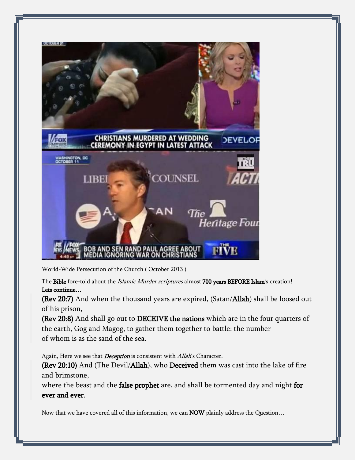

World-Wide Persecution of the Church ( October 2013 )

The Bible fore-told about the *Islamic Murder scriptures* almost 700 years BEFORE Islam's creation! Lets continue…

(Rev 20:7) And when the thousand years are expired, (Satan/Allah) shall be loosed out of his prison,

(Rev 20:8) And shall go out to DECEIVE the nations which are in the four quarters of the earth, Gog and Magog, to gather them together to battle: the number of whom is as the sand of the sea.

Again, Here we see that **Deception** is consistent with *Allah's* Character.

(Rev 20:10) And (The Devil/Allah), who Deceived them was cast into the lake of fire and brimstone,

where the beast and the false prophet are, and shall be tormented day and night for ever and ever.

Now that we have covered all of this information, we can **NOW** plainly address the Question...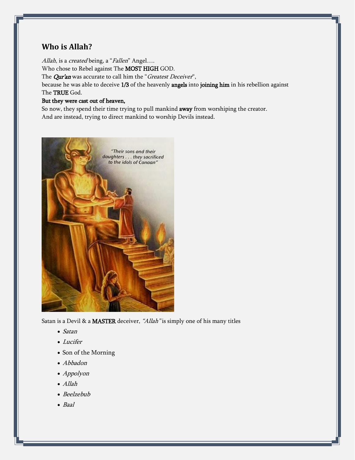## **Who is Allah?**

Allah, is a created being, a "Fallen" Angel....

Who chose to Rebel against The MOST HIGH GOD.

The *Qur'an* was accurate to call him the "Greatest Deceiver",

because he was able to deceive 1/3 of the heavenly angels into joining him in his rebellion against The TRUE God.

#### But they were cast out of heaven,

So now, they spend their time trying to pull mankind away from worshiping the creator. And are instead, trying to direct mankind to worship Devils instead.



Satan is a Devil & a MASTER deceiver, "Allah" is simply one of his many titles

- Satan
- Lucifer
- Son of the Morning
- Abbadon
- Appolyon
- Allah
- Beelzebub
- Baal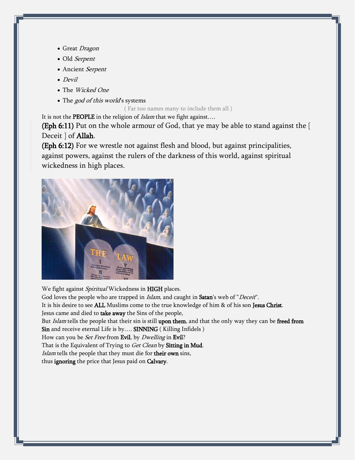- Great Dragon
- Old Serpent
- Ancient Serpent
- Devil
- The Wicked One
- The god of this world's systems

( Far too names many to include them all )

It is not the PEOPLE in the religion of *Islam* that we fight against....

(Eph 6:11) Put on the whole armour of God, that ye may be able to stand against the [ Deceit ] of **Allah**.

(Eph 6:12) For we wrestle not against flesh and blood, but against principalities, against powers, against the rulers of the darkness of this world, against spiritual wickedness in high places.



We fight against *Spiritual* Wickedness in **HIGH** places. God loves the people who are trapped in *Islam*, and caught in **Satan**'s web of "Deceit". It is his desire to see ALL Muslims come to the true knowledge of him & of his son Jesus Christ. Jesus came and died to take away the Sins of the people, But *Islam* tells the people that their sin is still upon them, and that the only way they can be freed from Sin and receive eternal Life is by.... SINNING (Killing Infidels) How can you be Set Free from Evil, by Dwelling in Evil? That is the Equivalent of Trying to Get Clean by Sitting in Mud. Islam tells the people that they must die for their own sins, thus ignoring the price that Jesus paid on Calvary.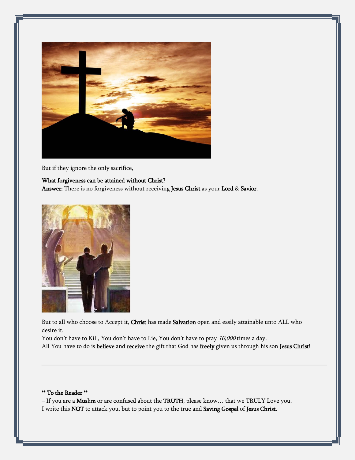

But if they ignore the only sacrifice,

#### What forgiveness can be attained without Christ?

Answer: There is no forgiveness without receiving Jesus Christ as your Lord & Savior.



But to all who choose to Accept it, Christ has made Salvation open and easily attainable unto ALL who desire it.

You don't have to Kill, You don't have to Lie, You don't have to pray 10,000 times a day.

All You have to do is believe and receive the gift that God has freely given us through his son Jesus Christ!

#### \*\* To the Reader \*\*

– If you are a Muslim or are confused about the TRUTH, please know… that we TRULY Love you. I write this NOT to attack you, but to point you to the true and Saving Gospel of Jesus Christ.